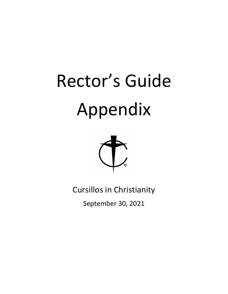# Rector's Guide Appendix



Cursillos in Christianity

September 30, 2021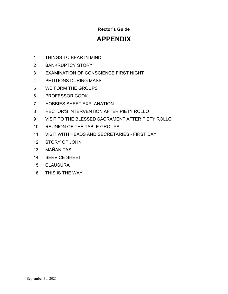# **Rector's Guide**

# **APPENDIX**

- THINGS TO BEAR IN MIND
- BANKRUPTCY STORY
- EXAMINATION OF CONSCIENCE FIRST NIGHT
- PETITIONS DURING MASS
- WE FORM THE GROUPS
- PROFESSOR COOK
- HOBBIES SHEET EXPLANATION
- RECTOR'S INTERVENTION AFTER PIETY ROLLO
- VISIT TO THE BLESSED SACRAMENT AFTER PIETY ROLLO
- REUNION OF THE TABLE GROUPS
- VISIT WITH HEADS AND SECRETARIES FIRST DAY
- STORY OF JOHN
- MAÑANITAS
- SERVICE SHEET
- CLAUSURA
- THIS IS THE WAY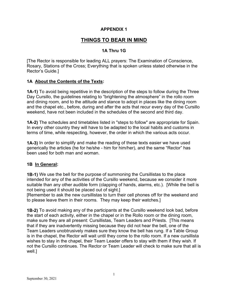# **THINGS TO BEAR IN MIND**

# **1A Thru 1G**

[The Rector is responsible for leading ALL prayers: The Examination of Conscience, Rosary, Stations of the Cross; Everything that is spoken unless stated otherwise in the Rector's Guide.]

### **1A About the Contents of the Texts:**

**1A-1)** To avoid being repetitive in the description of the steps to follow during the Three Day Cursillo, the guidelines relating to "brightening the atmosphere" in the rollo room and dining room, and to the attitude and stance to adopt in places like the dining room and the chapel etc., before, during and after the acts that recur every day of the Cursillo weekend, have not been included in the schedules of the second and third day.

**1A-2)** The schedules and timetables listed in "steps to follow" are appropriate for Spain. In every other country they will have to be adapted to the local habits and customs in terms of time, while respecting, however, the order in which the various acts occur.

**1A-3)** In order to simplify and make the reading of these texts easier we have used generically the articles (he for he/she - him for him/her), and the same "Rector" has been used for both man and woman.

### **1B In General:**

**1B-1)** We use the bell for the purpose of summoning the Cursillistas to the place intended for any of the activities of the Cursillo weekend, because we consider it more suitable than any other audible form (clapping of hands, alarms, etc.). [While the bell is not being used it should be placed out of sight.]

[Remember to ask the new cursillistas to turn their cell phones off for the weekend and to please leave them in their rooms. They may keep their watches.]

**1B-2)** To avoid making any of the participants at the Cursillo weekend look bad, before the start of each activity, either in the chapel or in the Rollo room or the dining room, make sure they are all present: Cursillistas, Team Leaders and Priests. [This means that if they are inadvertently missing because they did not hear the bell, one of the Team Leaders unobtrusively makes sure they know the bell has rung. If a Table Group is in the chapel, the Rector will wait until they come to the rollo room. If a new cursillista wishes to stay in the chapel, their Team Leader offers to stay with them if they wish. If not the Cursillo continues. The Rector or Team Leader will check to make sure that all is well.]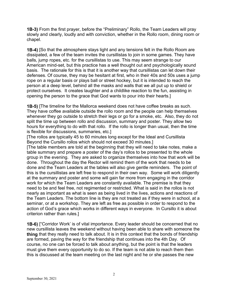**1B-3)** From the first prayer, before the "Preliminary" Rollo, the Team Leaders will pray slowly and clearly, loudly and with conviction, whether in the Rollo room, dining room or chapel.

**1B-4)** [So that the atmosphere stays light and any tensions felt in the Rollo Room are dissipated, a few of the team invites the cursillistas to join in some games. They have balls, jump ropes, etc. for the cursillistas to use. This may seem strange to our American mind-set, but this practice has a well thought out and psychologically sound basis. The rationale for this is that it is another way that cursillistas can let down their defenses. Of course, they may be hesitant at first, who in their 40s and 50s uses a jump rope on a regular basis or plays ball or street hockey, but it is intended to reach the person at a deep level, behind all the masks and walls that we all put up to shield or protect ourselves. It creates laughter and a childlike reaction to the fun, assisting in opening the person to the grace that God wants to pour into their hearts.]

**1B-5)** [The timeline for the Mallorca weekend does not have coffee breaks as such. They have coffee available outside the rollo room and the people can help themselves whenever they go outside to stretch their legs or go for a smoke, etc. Also, they do not split the time up between rollo and discussion, summary and poster. They allow two hours for everything to do with that rollo. If the rollo is longer than usual, then the time is flexible for discussions, summaries, etc.]

[The rollos are typically 45 to 60 minutes long except for the Ideal and Cursillista Beyond the Cursillo rollos which should not exceed 30 minutes.]

[The table members are told at the beginning that they will need to take notes, make a table summary and prepare a poster of the day's rollos to be presented to the whole group in the evening. They are asked to organize themselves into how that work will be done. Throughout the day the Rector will remind them of the work that needs to be done and the Team Leaders at the tables will also give gentle reminders. The point of this is the cursillistas are left free to respond in their own way. Some will work diligently at the summary and poster and some will gain far more from engaging in the corridor work for which the Team Leaders are constantly available. The premise is that they need to be and feel free, not regimented or restricted. What is said in the rollos is not nearly as important as what is seen as being lived in the lives, actions and reactions of the Team Leaders. The bottom line is they are not treated as if they were in school, at a seminar, or at a workshop. They are left as free as possible in order to respond to the action of God's grace which works in different ways in everyone. In Cursillo it is about criterion rather than rules.]

**1B-6)** ["Corridor Work' is of vital importance. Every leader should be concerned that no new cursillista leaves the weekend without having been able to share with someone the **thing** that they really need to talk about. It is in this context that the bonds of friendship are formed, paving the way for the friendship that continues into the 4th Day. Of course, no one can be forced to talk about anything, but the point is that the leaders must give them every opportunity to do so. If the team is not able to reach them then this is discussed at the team meeting on the last night and he or she passes the new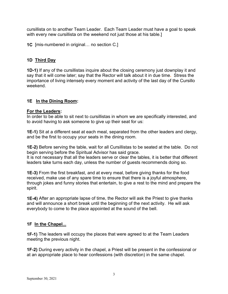cursillista on to another Team Leader. Each Team Leader must have a goal to speak with every new cursillista on the weekend not just those at his table.]

**1C** [mis-numbered in original… no section C.]

# **1D Third Day**

**1D-1)** If any of the cursillistas inquire about the closing ceremony just downplay it and say that it will come later; say that the Rector will talk about it in due time**.** Stress the importance of living intensely every moment and activity of the last day of the Cursillo weekend.

### **1E In the Dining Room:**

### **For the Leaders:**

In order to be able to sit next to cursillistas in whom we are specifically interested, and to avoid having to ask someone to give up their seat for us:

**1E-1)** Sit at a different seat at each meal, separated from the other leaders and clergy, and be the first to occupy your seats in the dining room.

**1E-2)** Before serving the table, wait for all Cursillistas to be seated at the table. Do not begin serving before the Spiritual Advisor has said grace.

It is not necessary that all the leaders serve or clear the tables, it is better that different leaders take turns each day, unless the number of guests recommends doing so.

**1E-3)** From the first breakfast, and at every meal, before giving thanks for the food received, make use of any spare time to ensure that there is a joyful atmosphere, through jokes and funny stories that entertain, to give a rest to the mind and prepare the spirit.

**1E-4)** After an appropriate lapse of time, the Rector will ask the Priest to give thanks and will announce a short break until the beginning of the next activity. He will ask everybody to come to the place appointed at the sound of the bell.

# **1F In the Chapel...**

**1F-1)** The leaders will occupy the places that were agreed to at the Team Leaders meeting the previous night.

**1F-2)** During every activity in the chapel, a Priest will be present in the confessional or at an appropriate place to hear confessions (with discretion) in the same chapel.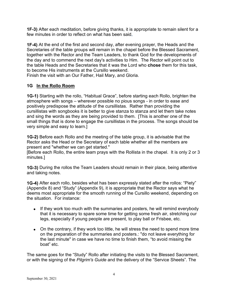**1F-3)** After each meditation, before giving thanks, it is appropriate to remain silent for a few minutes in order to reflect on what has been said**.**

**1F-4)** At the end of the first and second day, after evening prayer, the Heads and the Secretaries of the table groups will remain in the chapel before the Blessed Sacrament, together with the Rector and the Team Leaders, to thank God for the developments of the day and to commend the next day's activities to Him. The Rector will point out to the table Heads and the Secretaries that it was the Lord who **chose** them for this task, to become His instruments at the Cursillo weekend.

Finish the visit with an Our Father, Hail Mary, and Gloria.

# **1G In the Rollo Room**

**1G-1)** Starting with the rollo, "Habitual Grace", before starting each Rollo, brighten the atmosphere with songs – wherever possible no pious songs - in order to ease and positively predispose the attitude of the cursillistas. Rather than providing the cursillistas with songbooks it is better to give stanza to stanza and let them take notes and sing the words as they are being provided to them. [This is another one of the small things that is done to engage the cursillistas in the process. The songs should be very simple and easy to learn.]

**1G-2)** Before each Rollo and the meeting of the table group, it is advisable that the Rector asks the Head or the Secretary of each table whether all the members are present and "whether we can get started."

[Before each Rollo, the entire team prays with the Rollista in the chapel. It is only 2 or 3 minutes.]

**1G-3)** During the rollos the Team Leaders should remain in their place, being attentive and taking notes.

**1G-4)** After each rollo, besides what has been expressly stated after the rollos: "Piety" (Appendix 8) and "Study" (Appendix 9), it is appropriate that the Rector says what he deems most appropriate for the smooth running of the Cursillo weekend, depending on the situation. For instance:

- If they work too much with the summaries and posters, he will remind everybody that it is necessary to spare some time for getting some fresh air, stretching our legs, especially if young people are present, to play ball or Frisbee, etc.
- On the contrary, if they work too little, he will stress the need to spend more time on the preparation of the summaries and posters.: "do not leave everything for the last minute" in case we have no time to finish them, "to avoid missing the boat" etc.

The same goes for the "Study" Rollo after initiating the visits to the Blessed Sacrament, or with the signing of the *Pilgrim's Guide* and the delivery of the "Service Sheets". The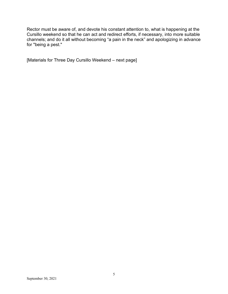Rector must be aware of, and devote his constant attention to, what is happening at the Cursillo weekend so that he can act and redirect efforts, if necessary, into more suitable channels; and do it all without becoming "a pain in the neck" and apologizing in advance for "being a pest."

[Materials for Three Day Cursillo Weekend – next page]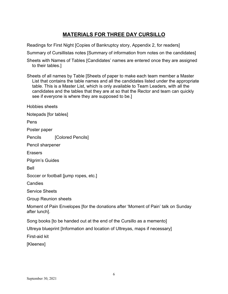# **MATERIALS FOR THREE DAY CURSILLO**

Readings for First Night [Copies of Bankruptcy story, Appendix 2, for readers]

Summary of Cursillistas notes [Summary of information from notes on the candidates]

Sheets with Names of Tables [Candidates' names are entered once they are assigned to their tables.]

Sheets of all names by Table [Sheets of paper to make each team member a Master List that contains the table names and all the candidates listed under the appropriate table. This is a Master List, which is only available to Team Leaders, with all the candidates and the tables that they are at so that the Rector and team can quickly see if everyone is where they are supposed to be.]

Hobbies sheets

Notepads [for tables]

Pens

Poster paper

Pencils [Colored Pencils]

Pencil sharpener

**Erasers** 

Pilgrim's Guides

Bell

Soccer or football [jump ropes, etc.]

Candies

Service Sheets

Group Reunion sheets

Moment of Pain Envelopes [for the donations after 'Moment of Pain' talk on Sunday after lunch].

Song books [to be handed out at the end of the Cursillo as a memento]

Ultreya blueprint [Information and location of Ultreyas, maps if necessary]

First-aid kit

[Kleenex]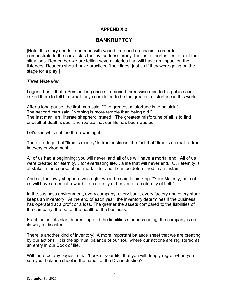# **BANKRUPTCY**

[Note: this story needs to be read with varied tone and emphasis in order to demonstrate to the cursillistas the joy, sadness, irony, the lost opportunities, etc. of the situations. Remember we are telling several stories that will have an impact on the listeners. Readers should have practiced `their lines` just as if they were going on the stage for a play!]

*Three Wise Men*

Legend has it that a Persian king once summoned three wise men to his palace and asked them to tell him what they considered to be the greatest misfortune in this world.

After a long pause, the first man said: "The greatest misfortune is to be sick." The second man said: "Nothing is more terrible than being old." The last man, an illiterate shepherd, stated: "The greatest misfortune of all is to find oneself at death's door and realize that our life has been wasted."

Let's see which of the three was right.

The old adage that "time is money" is true business, the fact that "time is eternal" is true in every environment.

All of us had a beginning; you will never, and all of us will have a mortal end! All of us were created for eternity… for everlasting life… a life that will never end. Our eternity is at stake in the course of our mortal life, and it can be determined in an instant.

And so, the lowly shepherd was right, when he said to his king: "Your Majesty, both of us will have an equal reward… an eternity of heaven or an eternity of hell."

In the business environment, every company, every bank, every factory and every store keeps an inventory. At the end of each year, the inventory determines if the business has operated at a profit or a loss. The greater the assets compared to the liabilities of the company, the better the health of the business.

But if the assets start decreasing and the liabilities start increasing, the company is on its way to disaster.

There is another kind of inventory! A more important balance sheet that we are creating by our actions. It is the spiritual balance of our soul where our actions are registered as an entry in our Book of life.

Will there be any pages in that 'book of your life' that you will deeply regret when you see your balance sheet in the hands of the Divine Justice?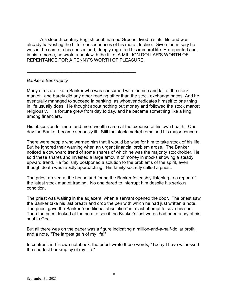A sixteenth-century English poet, named Greene, lived a sinful life and was already harvesting the bitter consequences of his moral decline. Given the misery he was in, he came to his senses and, deeply regretted his immoral life. He repented and, in his remorse, he wrote a book with the title: A MILLION DOLLAR'S WORTH OF REPENTANCE FOR A PENNY'S WORTH OF PLEASURE.

\_\_\_\_\_\_\_\_\_\_\_\_\_\_\_\_\_\_\_\_\_\_\_\_\_\_\_\_\_\_\_\_\_\_\_\_\_\_\_\_\_\_\_\_

### *Banker's Bankruptcy*

Many of us are like a Banker who was consumed with the rise and fall of the stock market. and barely did any other reading other than the stock exchange prices. And he eventually managed to succeed in banking, as whoever dedicates himself to one thing in life usually does. He thought about nothing but money and followed the stock market religiously. His fortune grew from day to day, and he became something like a king among financiers.

His obsession for more and more wealth came at the expense of his own health. One day the Banker became seriously ill. Still the stock market remained his major concern.

There were people who warned him that it would be wise for him to take stock of his life. But he ignored their warning when an urgent financial problem arose. The Banker noticed a downward trend of some shares of which he was the majority stockholder. He sold these shares and invested a large amount of money in stocks showing a steady upward trend. He foolishly postponed a solution to the problems of the spirit, even though death was rapidly approaching. His family secretly called a priest.

The priest arrived at the house and found the Banker feverishly listening to a report of the latest stock market trading. No one dared to interrupt him despite his serious condition.

The priest was waiting in the adjacent, when a servant opened the door. The priest saw the Banker take his last breath and drop the pen with which he had just written a note. The priest gave the Banker "conditional absolution" in a last attempt to save his soul. Then the priest looked at the note to see if the Banker's last words had been a cry of his soul to God.

But all there was on the paper was a figure indicating a million-and-a-half-dollar profit, and a note, "The largest gain of my life!"

In contrast, in his own notebook, the priest wrote these words, "Today I have witnessed the saddest bankruptcy of my life."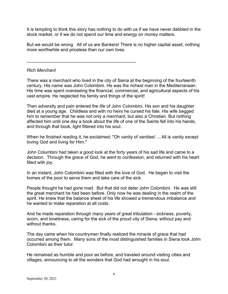It is tempting to think this story has nothing to do with us if we have never dabbled in the stock market, or if we do not spend our time and energy on money matters.

But we would be wrong. All of us are Bankers! There is no higher capital asset, nothing more worthwhile and priceless than our own lives.

\_\_\_\_\_\_\_\_\_\_\_\_\_\_\_\_\_\_\_\_\_\_\_\_\_\_\_\_\_\_\_\_\_\_\_\_\_\_\_\_\_\_\_\_

### *Rich Merchant*

There was a merchant who lived in the city of Siena at the beginning of the fourteenth century. His name was John Colombini. He was the richest man in the Mediterranean. His time was spent overseeing the financial, commercial, and agricultural aspects of his vast empire. He neglected his family and things of the spirit!

Then adversity and pain entered the life of John Colombini. His son and his daughter died at a young age. Childless and with no heirs he cursed his fate. His wife begged him to remember that he was not only a merchant, but also a Christian. But nothing affected him until one day a book about the life of one of the Saints fell into his hands, and through that book, light filtered into his soul.

When he finished reading it, he exclaimed: "Oh vanity of vanities! ... All is vanity except loving God and living for Him."

John Columbini had taken a good look at the forty years of his sad life and came to a decision. Through the grace of God, he went to confession, and returned with his heart filled with joy.

In an instant, John Colombini was filled with the love of God. He began to visit the homes of the poor to serve them and take care of the sick.

People thought he had gone mad. But that did not deter John Colombini. He was still the great merchant he had been before. Only now he was dealing in the realm of the spirit. He knew that the balance sheet of his life showed a tremendous imbalance and he wanted to make reparation at all costs.

And he made reparation through many years of great tribulation - sickness, poverty, scorn, and loneliness, caring for the sick of the proud city of Siena, without pay and without thanks.

The day came when his countrymen finally realized the miracle of grace that had occurred among them. Many sons of the most distinguished families in Siena took John Colombini as their tutor.

He remained as humble and poor as before, and traveled around visiting cities and villages, announcing to all the wonders that God had wrought in his soul.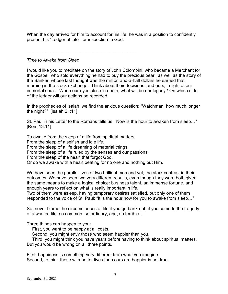When the day arrived for him to account for his life, he was in a position to confidently present his "Ledger of Life" for inspection to God.

*Time to Awake from Sleep*

I would like you to meditate on the story of John Colombini, who became a Merchant for the Gospel, who sold everything he had to buy the precious pearl, as well as the story of the Banker, whose last thought was the million and-a-half dollars he earned that morning in the stock exchange. Think about their decisions, and ours, in light of our immortal souls. When our eyes close in death, what will be our legacy? On which side of the ledger will our actions be recorded.

In the prophecies of Isaiah, we find the anxious question: "Watchman, how much longer the night?" [Isaiah 21:11]

St. Paul in his Letter to the Romans tells us: "Now is the hour to awaken from sleep…" [Rom 13:11]

To awake from the sleep of a life from spiritual matters.

\_\_\_\_\_\_\_\_\_\_\_\_\_\_\_\_\_\_\_\_\_\_\_\_\_\_\_\_\_\_\_\_\_\_\_\_\_\_\_\_\_\_\_\_

From the sleep of a selfish and idle life.

From the sleep of a life dreaming of material things.

From the sleep of a life ruled by the senses and our passions.

From the sleep of the heart that forgot God.

Or do we awake with a heart beating for no one and nothing but Him.

We have seen the parallel lives of two brilliant men and yet, the stark contrast in their outcomes. We have seen two very different results, even though they were both given the same means to make a logical choice: business talent, an immense fortune, and enough years to reflect on what is really important in life.

Two of them were asleep, having temporary desires satisfied, but only one of them responded to the voice of St. Paul: "It is the hour now for you to awake from sleep…"

So, never blame the circumstances of life if you go bankrupt, if you come to the tragedy of a wasted life, so common, so ordinary, and, so terrible...

Three things can happen to you:

First, you want to be happy at all costs.

Second, you might envy those who seem happier than you.

Third, you might think you have years before having to think about spiritual matters. But you would be wrong on all three points.

First, happiness is something very different from what you imagine. Second, to think those with better lives than ours are happier is not true.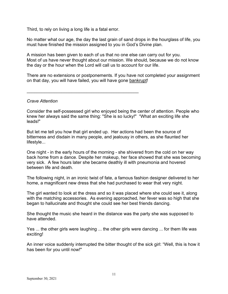Third, to rely on living a long life is a fatal error.

\_\_\_\_\_\_\_\_\_\_\_\_\_\_\_\_\_\_\_\_\_\_\_\_\_\_\_\_\_\_\_\_\_\_\_\_\_\_\_\_\_\_\_\_\_

No matter what our age, the day the last grain of sand drops in the hourglass of life, you must have finished the mission assigned to you in God's Divine plan.

A mission has been given to each of us that no one else can carry out for you. Most of us have never thought about our mission. We should, because we do not know the day or the hour when the Lord will call us to account for our life.

There are no extensions or postponements. If you have not completed your assignment on that day, you will have failed, you will have gone bankrupt!

### *Crave Attention*

Consider the self-possessed girl who enjoyed being the center of attention. People who knew her always said the same thing: "She is so lucky!" "What an exciting life she leads!"

But let me tell you how that girl ended up. Her actions had been the source of bitterness and disdain in many people, and jealousy in others, as she flaunted her lifestyle...

One night - in the early hours of the morning - she shivered from the cold on her way back home from a dance. Despite her makeup, her face showed that she was becoming very sick. A few hours later she became deathly ill with pneumonia and hovered between life and death.

The following night, in an ironic twist of fate, a famous fashion designer delivered to her home, a magnificent new dress that she had purchased to wear that very night.

The girl wanted to look at the dress and so it was placed where she could see it, along with the matching accessories. As evening approached, her fever was so high that she began to hallucinate and thought she could see her best friends dancing.

She thought the music she heard in the distance was the party she was supposed to have attended.

Yes ... the other girls were laughing ... the other girls were dancing ... for them life was exciting!

An inner voice suddenly interrupted the bitter thought of the sick girl: "Well, this is how it has been for you until now!"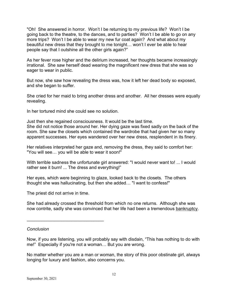"Oh! She answered in horror. Won't I be returning to my previous life? Won't I be going back to the theatre, to the dances, and to parties? Won't I be able to go on any more trips? Won't I be able to wear my new fur coat again? And what about my beautiful new dress that they brought to me tonight… won't I ever be able to hear people say that I outshine all the other girls again?"

As her fever rose higher and the delirium increased, her thoughts became increasingly irrational. She saw herself dead wearing the magnificent new dress that she was so eager to wear in public.

But now, she saw how revealing the dress was, how it left her dead body so exposed, and she began to suffer.

She cried for her maid to bring another dress and another. All her dresses were equally revealing.

In her tortured mind she could see no solution.

Just then she regained consciousness. It would be the last time. She did not notice those around her. Her dying gaze was fixed sadly on the back of the room. She saw the closets which contained the wardrobe that had given her so many apparent successes. Her eyes wandered over her new dress, resplendent in its finery.

Her relatives interpreted her gaze and, removing the dress, they said to comfort her: "You will see… you will be able to wear it soon!"

With terrible sadness the unfortunate girl answered: "I would never want to! ... I would rather see it burn! ... The dress and everything!"

Her eyes, which were beginning to glaze, looked back to the closets. The others thought she was hallucinating, but then she added… "I want to confess!"

The priest did not arrive in time.

\_\_\_\_\_\_\_\_\_\_\_\_\_\_\_\_\_\_\_\_\_\_\_\_\_\_\_\_\_\_\_

She had already crossed the threshold from which no one returns. Although she was now contrite, sadly she was convinced that her life had been a tremendous bankruptcy.

### *Conclusion*

Now, if you are listening, you will probably say with disdain, "This has nothing to do with me!" Especially if you're not a woman… But you are wrong.

No matter whether you are a man or woman, the story of this poor obstinate girl, always longing for luxury and fashion, also concerns you.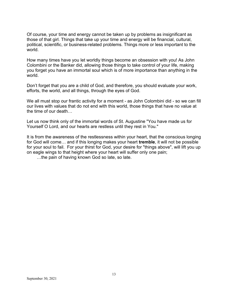Of course, your time and energy cannot be taken up by problems as insignificant as those of that girl. Things that take up your time and energy will be financial, cultural, political, scientific, or business-related problems. Things more or less important to the world.

How many times have you let worldly things become an obsession with you! As John Colombini or the Banker did, allowing those things to take control of your life, making you forget you have an immortal soul which is of more importance than anything in the world.

Don't forget that you are a child of God, and therefore, you should evaluate your work, efforts, the world, and all things, through the eyes of God.

We all must stop our frantic activity for a moment - as John Colombini did - so we can fill our lives with values that do not end with this world, those things that have no value at the time of our death…

Let us now think only of the immortal words of St. Augustine "You have made us for Yourself O Lord, and our hearts are restless until they rest in You."

It is from the awareness of the restlessness within your heart, that the conscious longing for God will come… and if this longing makes your heart **tremble**, it will not be possible for your soul to fail. For your thirst for God, your desire for "things above", will lift you up on eagle wings to that height where your heart will suffer only one pain;

…the pain of having known God so late, so late.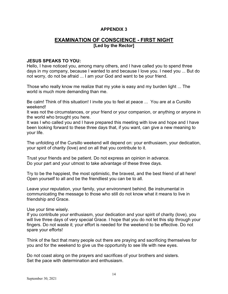# **EXAMINATION OF CONSCIENCE - FIRST NIGHT [Led by the Rector]**

### **JESUS SPEAKS TO YOU:**

Hello, I have noticed you, among many others, and I have called you to spend three days in my company, because I wanted to and because I love you. I need you ... But do not worry, do not be afraid ... I am your God and want to be your friend.

Those who really know me realize that my yoke is easy and my burden light ... The world is much more demanding than me.

Be calm! Think of this situation! I invite you to feel at peace ... You are at a Cursillo weekend!

It was not the circumstances, or your friend or your companion, or anything or anyone in the world who brought you here.

It was I who called you and I have prepared this meeting with love and hope and I have been looking forward to these three days that, if you want, can give a new meaning to your life.

The unfolding of the Cursillo weekend will depend on: your enthusiasm, your dedication, your spirit of charity (love) and on all that you contribute to it.

Trust your friends and be patient. Do not express an opinion in advance. Do your part and your utmost to take advantage of these three days.

Try to be the happiest, the most optimistic, the bravest, and the best friend of all here! Open yourself to all and be the friendliest you can be to all.

Leave your reputation, your family, your environment behind. Be instrumental in communicating the message to those who still do not know what it means to live in friendship and Grace.

Use your time wisely.

If you contribute your enthusiasm, your dedication and your spirit of charity (love), you will live three days of very special Grace. I hope that you do not let this slip through your fingers. Do not waste it; your effort is needed for the weekend to be effective. Do not spare your efforts!

Think of the fact that many people out there are praying and sacrificing themselves for you and for the weekend to give us the opportunity to see life with new eyes.

Do not coast along on the prayers and sacrifices of your brothers and sisters. Set the pace with determination and enthusiasm.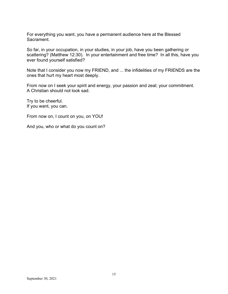For everything you want, you have a permanent audience here at the Blessed Sacrament.

So far, in your occupation, in your studies, in your job, have you been gathering or scattering? (Matthew 12:30). In your entertainment and free time? In all this, have you ever found yourself satisfied?

Note that I consider you now my FRIEND, and ... the infidelities of my FRIENDS are the ones that hurt my heart most deeply.

From now on I seek your spirit and energy, your passion and zeal; your commitment. A Christian should not look sad.

Try to be cheerful. If you want, you can.

From now on, I count on you, on YOU!

And you, who or what do you count on?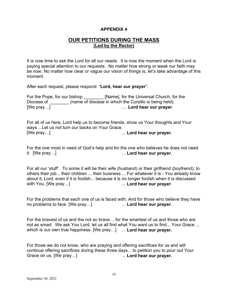### **OUR PETITIONS DURING THE MASS (Led by the Rector)**

It is now time to ask the Lord for all our needs. It is now the moment when the Lord is paying special attention to our requests. No matter how strong or weak our faith may be now. No matter how clear or vague our vision of things is, let's take advantage of this moment.

After each request, please respond: "**Lord, hear our prayer**".

| For the Pope, for our bishop | [Name], for the Universal Church, for the              |
|------------------------------|--------------------------------------------------------|
| Diocese of                   | (name of diocese in which the Cursillo is being held). |
| [We pray]                    | Lord hear our prayer.                                  |

For all of us here, Lord help us to become friends, show us Your thoughts and Your ways ...Let us not turn our backs on Your Grace. [We pray…] ... **Lord hear our prayer.**

For the one most in need of God's help and for the one who believes he does not need it. [We pray…] ... **Lord hear our prayer.**

For all our 'stuff'. To some it will be their wife (husband) or their girlfriend (boyfriend); to others their job... their children ... their business ... For whatever it is - You already know about it, Lord, even if it is foolish... because it is no longer foolish when it is discussed with You. [We pray…] ... **Lord hear our prayer**.

For the problems that each one of us is faced with; And for those who believe they have no problems to face. [We pray…] ... **Lord hear our prayer**.

For the bravest of us and the not so brave… for the smartest of us and those who are not as smart. We ask You Lord, let us all find what You want us to find... Your Grace ... which is our own true happiness. [We pray…] ... **Lord hear our prayer.**

For those we do not know, who are praying and offering sacrifices for us and will continue offering sacrifices during these three days... to petition you to pour out Your<br>Grace on us. [We pray...] Grace on us. [We pray…] ... **Lord hear our prayer.**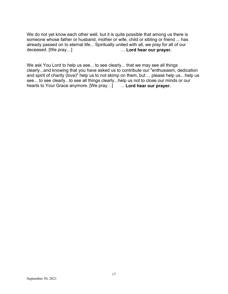We do not yet know each other well, but it is quite possible that among us there is someone whose father or husband, mother or wife, child or sibling or friend ... has already passed on to eternal life... Spiritually united with all, we pray for all of our deceased. [We pray...] ... Lord hear our prayer.

We ask You Lord to help us see... to see clearly... that we may see all things clearly...and knowing that you have asked us to contribute our "enthusiasm, dedication and spirit of charity (love)" help us to not skimp on them, but ... please help us…help us see... to see clearly...to see all things clearly...help us not to close our minds or our hearts to Your Grace anymore. [We pray…] ... **Lord hear our prayer.**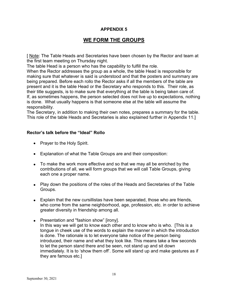# **WE FORM THE GROUPS**

[ Note: The Table Heads and Secretaries have been chosen by the Rector and team at the first team meeting on Thursday night.

The table Head is a person who has the capability to fulfill the role.

When the Rector addresses the group as a whole, the table Head is responsible for making sure that whatever is said is understood and that the posters and summary are being prepared. Before each rollo the Rector asks if all the members of the table are present and it is the table Head or the Secretary who responds to this. Their role, as their title suggests, is to make sure that everything at the table is being taken care of. If, as sometimes happens, the person selected does not live up to expectations, nothing is done. What usually happens is that someone else at the table will assume the responsibility.

The Secretary, in addition to making their own notes, prepares a summary for the table. This role of the table Heads and Secretaries is also explained further in Appendix 11.]

### **Rector's talk before the "Ideal" Rollo**

- Prayer to the Holy Spirit.
- Explanation of what the Table Groups are and their composition:
- To make the work more effective and so that we may all be enriched by the contributions of all, we will form groups that we will call Table Groups, giving each one a proper name.
- Play down the positions of the roles of the Heads and Secretaries of the Table Groups.
- Explain that the new cursillistas have been separated, those who are friends, who come from the same neighborhood, age, profession, etc. in order to achieve greater diversity in friendship among all.
- Presentation and "fashion show" [irony]. In this way we will get to know each other and to know who is who. [This is a tongue in cheek use of the words to explain the manner in which the introduction is done. The rationale is to let everyone take notice of the person being introduced, their name and what they look like. This means take a few seconds to let the person stand there and be seen, not stand up and sit down immediately. It is to 'show them off'. Some will stand up and make gestures as if they are famous etc.]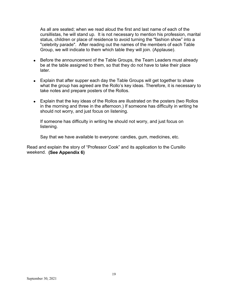As all are seated; when we read aloud the first and last name of each of the cursillistas, he will stand up. It is not necessary to mention his profession, marital status, children or place of residence to avoid turning the "fashion show" into a "celebrity parade". After reading out the names of the members of each Table Group, we will indicate to them which table they will join. (Applause).

- Before the announcement of the Table Groups, the Team Leaders must already be at the table assigned to them, so that they do not have to take their place later.
- Explain that after supper each day the Table Groups will get together to share what the group has agreed are the Rollo's key ideas. Therefore, it is necessary to take notes and prepare posters of the Rollos.
- Explain that the key ideas of the Rollos are illustrated on the posters (two Rollos in the morning and three in the afternoon.) If someone has difficulty in writing he should not worry, and just focus on listening.

If someone has difficulty in writing he should not worry, and just focus on listening.

Say that we have available to everyone: candies, gum, medicines, etc.

Read and explain the story of "Professor Cook" and its application to the Cursillo weekend. **(See Appendix 6)**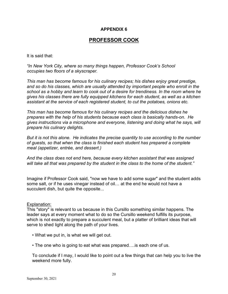# **PROFESSOR COOK**

It is said that:

*"In New York City, where so many things happen, Professor Cook's School occupies two floors of a skyscraper.*

*This man has become famous for his culinary recipes; his dishes enjoy great prestige, and so do his classes, which are usually attended by important people who enroll in the school as a hobby and learn to cook out of a desire for trendiness. In the room where he gives his classes there are fully equipped kitchens for each student, as well as a kitchen assistant at the service of each registered student, to cut the potatoes, onions etc.*

*This man has become famous for his culinary recipes and the delicious dishes he prepares with the help of his students because each class is basically hands-on. He gives instructions via a microphone and everyone, listening and doing what he says, will prepare his culinary delights.*

*But it is not this alone. He indicates the precise quantity to use according to the number of guests, so that when the class is finished each student has prepared a complete meal (appetizer, entrée, and dessert.)*

*And the class does not end here, because every kitchen assistant that was assigned will take all that was prepared by the student in the class to the home of the student."*

Imagine if Professor Cook said, "now we have to add some sugar" and the student adds some salt, or if he uses vinegar instead of oil… at the end he would not have a succulent dish, but quite the opposite...

### Explanation:

This "story" is relevant to us because in this Cursillo something similar happens. The leader says at every moment what to do so the Cursillo weekend fulfills its purpose, which is not exactly to prepare a succulent meal, but a platter of brilliant ideas that will serve to shed light along the path of your lives.

- What we put in, is what we will get out.
- The one who is going to eat what was prepared….is each one of us.

To conclude if I may, I would like to point out a few things that can help you to live the weekend more fully.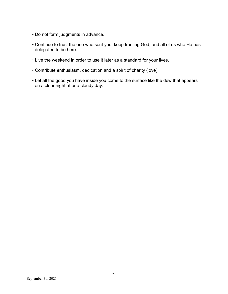- Do not form judgments in advance.
- Continue to trust the one who sent you, keep trusting God, and all of us who He has delegated to be here.
- Live the weekend in order to use it later as a standard for your lives.
- Contribute enthusiasm, dedication and a spirit of charity (love).
- Let all the good you have inside you come to the surface like the dew that appears on a clear night after a cloudy day.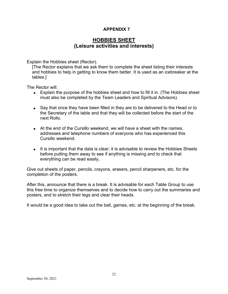# **HOBBIES SHEET (Leisure activities and interests)**

Explain the Hobbies sheet (Rector).

[The Rector explains that we ask them to complete the sheet listing their interests and hobbies to help in getting to know them better. It is used as an icebreaker at the tables.]

The Rector will:

- Explain the purpose of the hobbies sheet and how to fill it in. (The Hobbies sheet must also be completed by the Team Leaders and Spiritual Advisors).
- Say that once they have been filled in they are to be delivered to the Head or to the Secretary of the table and that they will be collected before the start of the next Rollo.
- At the end of the Cursillo weekend, we will have a sheet with the names, addresses and telephone numbers of everyone who has experienced this Cursillo weekend.
- It is important that the data is clear; it is advisable to review the Hobbies Sheets before putting them away to see if anything is missing and to check that everything can be read easily**.**

Give out sheets of paper, pencils, crayons, erasers, pencil sharpeners, etc. for the completion of the posters.

After this, announce that there is a break. It is advisable for each Table Group to use this free time to organize themselves and to decide how to carry out the summaries and posters, and to stretch their legs and clear their heads.

It would be a good idea to take out the ball, games, etc. at the beginning of the break.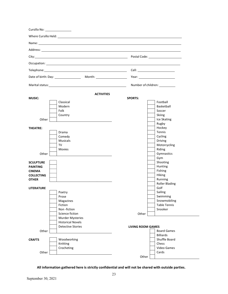| Cursillo No: _<br><u> The Community of the Community of the Community of the Community of the Community of the Community of the Community of the Community of the Community of the Community of the Community of the Community of the Community of</u> |                                |
|--------------------------------------------------------------------------------------------------------------------------------------------------------------------------------------------------------------------------------------------------------|--------------------------------|
|                                                                                                                                                                                                                                                        |                                |
| Name: Name and the second contract of the second contract of the second contract of the second contract of the second contract of the second contract of the second contract of the second contract of the second contract of                          |                                |
| Address: Address: Address: Address: Address: Address: Address: Address: Address: Address: Address: A                                                                                                                                                   |                                |
|                                                                                                                                                                                                                                                        |                                |
|                                                                                                                                                                                                                                                        |                                |
|                                                                                                                                                                                                                                                        |                                |
|                                                                                                                                                                                                                                                        |                                |
|                                                                                                                                                                                                                                                        |                                |
|                                                                                                                                                                                                                                                        | Number of children: __________ |
| <b>ACTIVITIES</b>                                                                                                                                                                                                                                      |                                |
| <b>MUSIC:</b>                                                                                                                                                                                                                                          | <b>SPORTS:</b>                 |
| Classical                                                                                                                                                                                                                                              | Football                       |
| Modern                                                                                                                                                                                                                                                 | Basketball                     |
| Folk                                                                                                                                                                                                                                                   | Soccer                         |
| Country                                                                                                                                                                                                                                                | <b>Skiing</b>                  |
| Other                                                                                                                                                                                                                                                  | Ice Skating                    |
|                                                                                                                                                                                                                                                        | Rugby                          |
| <b>THEATRE:</b>                                                                                                                                                                                                                                        | Hockey                         |
| Drama                                                                                                                                                                                                                                                  | Tennis                         |
| Comedy                                                                                                                                                                                                                                                 | Cycling                        |
| <b>Musicals</b>                                                                                                                                                                                                                                        | Driving                        |
| TV                                                                                                                                                                                                                                                     | Motorcycling                   |
| <b>Movies</b>                                                                                                                                                                                                                                          | Riding                         |
| Other                                                                                                                                                                                                                                                  | Gymnastics                     |
|                                                                                                                                                                                                                                                        | Gym                            |
| <b>SCULPTURE</b>                                                                                                                                                                                                                                       | Shooting                       |
| <b>PAINTING</b>                                                                                                                                                                                                                                        | Hunting                        |
| <b>CINEMA</b>                                                                                                                                                                                                                                          | Fishing                        |
| <b>COLLECTING</b>                                                                                                                                                                                                                                      | Hiking                         |
| <b>OTHER</b>                                                                                                                                                                                                                                           | Running                        |
|                                                                                                                                                                                                                                                        | <b>Roller Blading</b>          |
| <b>LITERATURE</b>                                                                                                                                                                                                                                      | Golf                           |
| Poetry                                                                                                                                                                                                                                                 | Sailing                        |
| Prose                                                                                                                                                                                                                                                  | Swimming                       |
| Magazines                                                                                                                                                                                                                                              | Snowmobiling                   |
| Fiction                                                                                                                                                                                                                                                | <b>Table Tennis</b>            |
| Non-fiction                                                                                                                                                                                                                                            | Snooker                        |
| Science fiction                                                                                                                                                                                                                                        | Other                          |
| <b>Murder Mysteries</b>                                                                                                                                                                                                                                |                                |
| <b>Historical Novels</b>                                                                                                                                                                                                                               |                                |
| <b>Detective Stories</b>                                                                                                                                                                                                                               | <b>LIVING ROOM GAMES</b>       |
| Other                                                                                                                                                                                                                                                  | <b>Board Games</b>             |
|                                                                                                                                                                                                                                                        | <b>Billiards</b>               |
| Woodworking<br><b>CRAFTS</b>                                                                                                                                                                                                                           | Shuffle Board                  |
| Knitting                                                                                                                                                                                                                                               | Chess                          |
| Crocheting                                                                                                                                                                                                                                             | Video Games                    |
| Other                                                                                                                                                                                                                                                  | Cards                          |
|                                                                                                                                                                                                                                                        | Other                          |

**All information gathered here is strictly confidential and will not be shared with outside parties.**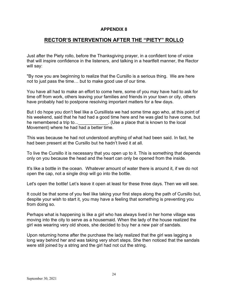# **RECTOR'S INTERVENTION AFTER THE "PIETY" ROLLO**

Just after the Piety rollo, before the Thanksgiving prayer, in a confident tone of voice that will inspire confidence in the listeners, and talking in a heartfelt manner, the Rector will say:

"By now you are beginning to realize that the Cursillo is a serious thing. We are here not to just pass the time… but to make good use of our time.

You have all had to make an effort to come here, some of you may have had to ask for time off from work, others leaving your families and friends in your town or city, others have probably had to postpone resolving important matters for a few days.

But I do hope you don't feel like a Cursillista we had some time ago who, at this point of his weekend, said that he had had a good time here and he was glad to have come, but he remembered a trip to... **Exercise 2** (Use a place that is known to the local Movement) where he had had a better time.

This was because he had not understood anything of what had been said. In fact, he had been present at the Cursillo but he hadn't lived it at all.

To live the Cursillo it is necessary that you open up to it. This is something that depends only on you because the head and the heart can only be opened from the inside.

It's like a bottle in the ocean. Whatever amount of water there is around it, if we do not open the cap, not a single drop will go into the bottle.

Let's open the bottle! Let's leave it open at least for these three days. Then we will see.

It could be that some of you feel like taking your first steps along the path of Cursillo but, despite your wish to start it, you may have a feeling that something is preventing you from doing so.

Perhaps what is happening is like a girl who has always lived in her home village was moving into the city to serve as a housemaid. When the lady of the house realized the girl was wearing very old shoes, she decided to buy her a new pair of sandals.

Upon returning home after the purchase the lady realized that the girl was lagging a long way behind her and was taking very short steps. She then noticed that the sandals were still joined by a string and the girl had not cut the string.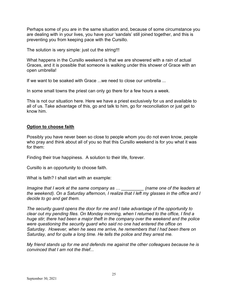Perhaps some of you are in the same situation and, because of some circumstance you are dealing with in your lives, you have your 'sandals' still joined together, and this is preventing you from keeping pace with the Cursillo.

The solution is very simple: just cut the string!!!

What happens in the Cursillo weekend is that we are showered with a rain of actual Graces, and it is possible that someone is walking under this shower of Grace with an open umbrella!

If we want to be soaked with Grace ...we need to close our umbrella ...

In some small towns the priest can only go there for a few hours a week.

This is not our situation here. Here we have a priest exclusively for us and available to all of us. Take advantage of this, go and talk to him, go for reconciliation or just get to know him.

### **Option to choose faith**

Possibly you have never been so close to people whom you do not even know, people who pray and think about all of you so that this Cursillo weekend is for you what it was for them:

Finding their true happiness. A solution to their life, forever.

Cursillo is an opportunity to choose faith.

What is faith? I shall start with an example:

*Imagine that I work at the same company as … \_\_\_\_\_\_\_\_\_ (name one of the leaders at the weekend). On a Saturday afternoon, I realize that I left my glasses in the office and I decide to go and get them.* 

*The security guard opens the door for me and I take advantage of the opportunity to clear out my pending files. On Monday morning, when I returned to the office, I find a huge stir; there had been a major theft in the company over the weekend and the police were questioning the security guard who said no one had entered the office on Saturday. However, when he sees me arrive, he remembers that I had been there on Saturday, and for quite a long time. He tells the police and they arrest me.* 

*My friend stands up for me and defends me against the other colleagues because he is convinced that I am not the thief...*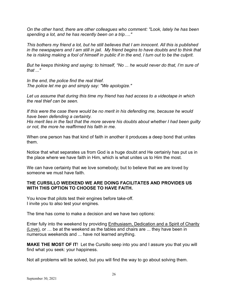*On the other hand, there are other colleagues who comment: "Look, lately he has been spending a lot, and he has recently been on a trip…."*

*This bothers my friend a lot, but he still believes that I am innocent. All this is published in the newspapers and I am still in jail. My friend begins to have doubts and to think that he is risking making a fool of himself in public if in the end, I turn out to be the culprit.*

*But he keeps thinking and saying: to himself, "No ... he would never do that, I'm sure of that ..."*

*In the end, the police find the real thief. The police let me go and simply say: "We apologize."*

*Let us assume that during this time my friend has had access to a videotape in which the real thief can be seen.*

*If this were the case there would be no merit in his defending me, because he would have been defending a certainty.*

*His merit lies in the fact that the more severe his doubts about whether I had been guilty or not, the more he reaffirmed his faith in me.*

When one person has that kind of faith in another it produces a deep bond that unites them.

Notice that what separates us from God is a huge doubt and He certainly has put us in the place where we have faith in Him, which is what unites us to Him the most.

We can have certainty that we love somebody; but to believe that we are loved by someone we must have faith

### **THE CURSILLO WEEKEND WE ARE DOING FACILITATES AND PROVIDES US WITH THIS OPTION TO CHOOSE TO HAVE FAITH.**

You know that pilots test their engines before take-off. I invite you to also test your engines.

The time has come to make a decision and we have two options:

Enter fully into the weekend by providing Enthusiasm, Dedication and a Spirit of Charity (Love), or … be at the weekend as the tables and chairs are ... they have been in numerous weekends and ... have not learned anything.

**MAKE THE MOST OF IT**! Let the Cursillo seep into you and I assure you that you will find what you seek: your happiness.

Not all problems will be solved, but you will find the way to go about solving them.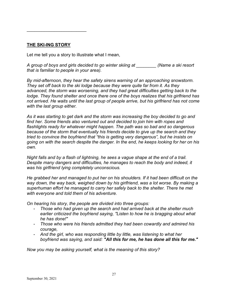**THE SKI-ING STORY**

\_\_\_\_\_\_\_\_\_\_\_\_\_\_\_\_\_\_\_\_\_\_\_\_

Let me tell you a story to illustrate what I mean,

*A group of boys and girls decided to go winter skiing at \_\_\_\_\_\_\_\_ (Name a ski resort that is familiar to people in your area).*

*By mid-afternoon, they hear the safety sirens warning of an approaching snowstorm. They set off back to the ski lodge because they were quite far from it. As they advanced, the storm was worsening, and they had great difficulties getting back to the lodge. They found shelter and once there one of the boys realizes that his girlfriend has not arrived. He waits until the last group of people arrive, but his girlfriend has not come with the last group either.*

*As it was starting to get dark and the storm was increasing the boy decided to go and find her. Some friends also ventured out and decided to join him with ropes and flashlights ready for whatever might happen. The path was so bad and so dangerous because of the storm that eventually his friends decide to give up the search and they tried to convince the boyfriend that "this is getting very dangerous", but he insists on going on with the search despite the danger. In the end, he keeps looking for her on his own.* 

*Night falls and by a flash of lightning, he sees a vague shape at the end of a trail. Despite many dangers and difficulties, he manages to reach the body and indeed, it was his girlfriend lying completely unconscious.*

*He grabbed her and managed to put her on his shoulders. If it had been difficult on the way down, the way back, weighed down by his girlfriend, was a lot worse. By making a superhuman effort he managed to carry her safely back to the shelter. There he met with everyone and told them of his adventure.* 

*On hearing his story, the people are divided into three groups:*

- *Those who had given up the search and had arrived back at the shelter much earlier criticized the boyfriend saying, "Listen to how he is bragging about what he has done!"*
- *Those who were his friends admitted they had been cowardly and admired his courage,*
- *And the girl, who was responding little by little, was listening to what her boyfriend was saying, and said: "All this for me, he has done all this for me."*

*Now you may be asking yourself, what is the meaning of this story?*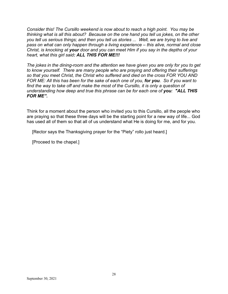*Consider this! The Cursillo weekend is now about to reach a high point. You may be thinking what is all this about? Because on the one hand you tell us jokes, on the other you tell us serious things; and then you tell us stories ... Well, we are trying to live and pass on what can only happen through a living experience – this alive, normal and close Christ, is knocking at your door and you can meet Him if you say in the depths of your heart, what this girl said: ALL THIS FOR ME!!!*

*The jokes in the dining-room and the attention we have given you are only for you to get to know yourself. There are many people who are praying and offering their sufferings so that you meet Christ, the Christ who suffered and died on the cross FOR YOU AND FOR ME: All this has been for the sake of each one of you, for you. So if you want to find the way to take off and make the most of the Cursillo, it is only a question of understanding how deep and true this phrase can be for each one of you: "ALL THIS FOR ME".*

Think for a moment about the person who invited you to this Cursillo, all the people who are praying so that these three days will be the starting point for a new way of life... God has used all of them so that all of us understand what He is doing for me, and for you.

[Rector says the Thanksgiving prayer for the "Piety" rollo just heard.]

[Proceed to the chapel.]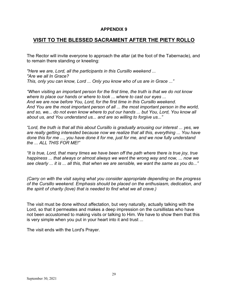# **VISIT TO THE BLESSED SACRAMENT AFTER THE PIETY ROLLO**

The Rector will invite everyone to approach the altar (at the foot of the Tabernacle), and to remain there standing or kneeling:

*"Here we are, Lord, all the participants in this Cursillo weekend ... "Are we all In Grace? This, only you can know, Lord ... Only you know who of us are in Grace ..."*

*"When visiting an important person for the first time, the truth is that we do not know where to place our hands or where to look ... where to cast our eyes ... And we are now before You, Lord, for the first time in this Cursillo weekend. And You are the most important person of all ... the most important person in the world, and so, we... do not even know where to put our hands ... but You, Lord, You know all about us, and You understand us... and are so willing to forgive us..."*

*"Lord, the truth is that all this about Cursillo is gradually arousing our interest ... yes, we are really getting interested because now we realize that all this, everything ... You have done this for me ..., you have done it for me, just for me, and we now fully understand the ... ALL THIS FOR ME!"*

*"It is true, Lord, that many times we have been off the path where there is true joy, true happiness ... that always or almost always we went the wrong way and now, ... now we see clearly ... it is ... all this, that when we are sensible, we want the same as you do..."*

*(Carry on with the visit saying what you consider appropriate depending on the progress of the Cursillo weekend. Emphasis should be placed on the enthusiasm, dedication, and the spirit of charity (love) that is needed to find what we all crave.)*

The visit must be done without affectation, but very naturally, actually talking with the Lord, so that it permeates and makes a deep impression on the cursillistas who have not been accustomed to making visits or talking to Him. We have to show them that this is very simple when you put in your heart into it and trust ...

The visit ends with the Lord's Prayer.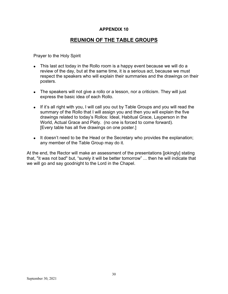# **REUNION OF THE TABLE GROUPS**

Prayer to the Holy Spirit

- This last act today in the Rollo room is a happy event because we will do a review of the day, but at the same time, it is a serious act, because we must respect the speakers who will explain their summaries and the drawings on their posters.
- The speakers will not give a rollo or a lesson, nor a criticism. They will just express the basic idea of each Rollo.
- If it's all right with you, I will call you out by Table Groups and you will read the summary of the Rollo that I will assign you and then you will explain the five drawings related to today's Rollos: Ideal, Habitual Grace, Layperson in the World, Actual Grace and Piety. (no one is forced to come forward). [Every table has all five drawings on one poster.]
- It doesn't need to be the Head or the Secretary who provides the explanation; any member of the Table Group may do it.

At the end, the Rector will make an assessment of the presentations [jokingly] stating that, "it was not bad" but, "surely it will be better tomorrow" ... then he will indicate that we will go and say goodnight to the Lord in the Chapel.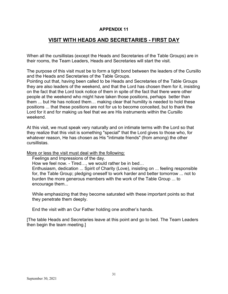# **VISIT WITH HEADS AND SECRETARIES - FIRST DAY**

When all the cursillistas (except the Heads and Secretaries of the Table Groups) are in their rooms, the Team Leaders, Heads and Secretaries will start the visit.

The purpose of this visit must be to form a tight bond between the leaders of the Cursillo and the Heads and Secretaries of the Table Groups.

Pointing out that, having been called to be Heads and Secretaries of the Table Groups they are also leaders of the weekend, and that the Lord has chosen them for it, insisting on the fact that the Lord took notice of them in spite of the fact that there were other people at the weekend who might have taken those positions, perhaps better than them ... but He has noticed them… making clear that humility is needed to hold these positions ... that these positions are not for us to become conceited, but to thank the Lord for it and for making us feel that we are His instruments within the Cursillo weekend.

At this visit, we must speak very naturally and on intimate terms with the Lord so that they realize that this visit is something "special" that the Lord gives to those who, for whatever reason, He has chosen as His "intimate friends" (from among) the other cursillistas.

More or less the visit must deal with the following:

Feelings and Impressions of the day.

How we feel now. - Tired…, we would rather be in bed…

Enthusiasm, dedication ... Spirit of Charity (Love), insisting on ... feeling responsible for, the Table Group; pledging oneself to work harder and better tomorrow ... not to burden the more generous members with the work of the Table Group ... to encourage them...

While emphasizing that they become saturated with these important points so that they penetrate them deeply.

End the visit with an Our Father holding one another's hands.

[The table Heads and Secretaries leave at this point and go to bed. The Team Leaders then begin the team meeting.]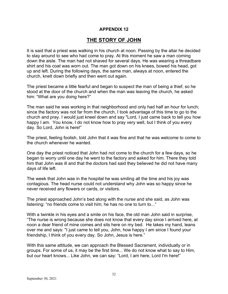# **THE STORY OF JOHN**

It is said that a priest was walking in his church at noon. Passing by the altar he decided to stay around to see who had come to pray. At this moment he saw a man coming down the aisle. The man had not shaved for several days. He was wearing a threadbare shirt and his coat was worn out. The man got down on his knees, bowed his head, got up and left. During the following days, the same man, always at noon, entered the church, knelt down briefly and then went out again.

The priest became a little fearful and began to suspect the man of being a thief, so he stood at the door of the church and when the man was leaving the church, he asked him: "What are you doing here?"

The man said he was working in that neighborhood and only had half an hour for lunch; since the factory was not far from the church, I took advantage of this time to go to the church and pray. I would just kneel down and say "Lord, I just came back to tell you how happy I am. You know, I do not know how to pray very well, but I think of you every day. So Lord, John is here!"

The priest, feeling foolish, told John that it was fine and that he was welcome to come to the church whenever he wanted.

One day the priest noticed that John had not come to the church for a few days, so he began to worry until one day he went to the factory and asked for him. There they told him that John was ill and that the doctors had said they believed he did not have many days of life left.

The week that John was in the hospital he was smiling all the time and his joy was contagious. The head nurse could not understand why John was so happy since he never received any flowers or cards, or visitors.

The priest approached John's bed along with the nurse and she said, as John was listening: "no friends come to visit him; he has no one to turn to..."

With a twinkle in his eyes and a smile on his face, the old man John said in surprise, "The nurse is wrong because she does not know that every day since I arrived here, at noon a dear friend of mine comes and sits here on my bed. He takes my hand, leans over me and says: "I just came to tell you, John, how happy I am since I found your friendship, I think of you every day. So John, Jesus is here."

With this same attitude, we can approach the Blessed Sacrament, individually or in groups. For some of us, it may be the first time... We do not know what to say to Him, but our heart knows... Like John, we can say: "Lord, I am here, Lord I'm here!"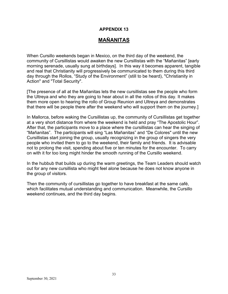# **MAÑANITAS**

When Cursillo weekends began in Mexico, on the third day of the weekend, the community of Cursillistas would awaken the new Cursillistas with the "Mañanitas" [early morning serenade, usually sung at birthdays]. In this way it becomes apparent, tangible and real that Christianity will progressively be communicated to them during this third day through the Rollos, "Study of the Environment" (still to be heard), "Christianity in Action" and "Total Security".

[The presence of all at the Mañanitas lets the new cursillistas see the people who form the Ultreya and who they are going to hear about in all the rollos of this day. It makes them more open to hearing the rollo of Group Reunion and Ultreya and demonstrates that there will be people there after the weekend who will support them on the journey.]

In Mallorca, before waking the Cursillistas up, the community of Cursillistas get together at a very short distance from where the weekend is held and pray "The Apostolic Hour". After that, the participants move to a place where the cursillistas can hear the singing of "Mañanitas". The participants will sing "Las Mañanitas" and "De Colores" until the new Cursillistas start joining the group, usually recognizing in the group of singers the very people who invited them to go to the weekend, their family and friends. It is advisable not to prolong the visit, spending about five or ten minutes for the encounter. To carry on with it for too long might hinder the smooth running of the Cursillo weekend.

In the hubbub that builds up during the warm greetings, the Team Leaders should watch out for any new cursillista who might feel alone because he does not know anyone in the group of visitors.

Then the community of cursillistas go together to have breakfast at the same café, which facilitates mutual understanding and communication. Meanwhile, the Cursillo weekend continues, and the third day begins.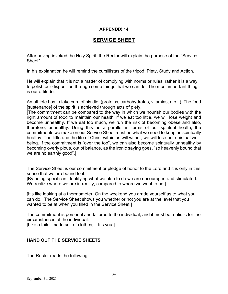# **SERVICE SHEET**

After having invoked the Holy Spirit, the Rector will explain the purpose of the "Service Sheet".

In his explanation he will remind the cursillistas of the tripod: Piety, Study and Action.

He will explain that it is not a matter of complying with norms or rules, rather it is a way to polish our disposition through some things that we can do. The most important thing is our attitude.

An athlete has to take care of his diet (proteins, carbohydrates, vitamins, etc...). The food [sustenance] of the spirit is achieved through acts of piety.

[The commitment can be compared to the way in which we nourish our bodies with the right amount of food to maintain our health; if we eat too little, we will lose weight and become unhealthy. If we eat too much, we run the risk of becoming obese and also, therefore, unhealthy. Using this as a parallel in terms of our spiritual health, the commitments we make on our Service Sheet must be what we need to keep us spiritually healthy. Too little and the life of Christ within us will wither, we will lose our spiritual wellbeing. If the commitment is "over the top", we can also become spiritually unhealthy by becoming overly pious, out of balance, as the ironic saying goes, "so heavenly bound that we are no earthly good".]

The Service Sheet is our commitment or pledge of honor to the Lord and it is only in this sense that we are bound to it.

[By being specific in identifying what we plan to do we are encouraged and stimulated. We realize where we are in reality, compared to where we want to be.]

[It's like looking at a thermometer. On the weekend you grade yourself as to what you can do. The Service Sheet shows you whether or not you are at the level that you wanted to be at when you filled in the Service Sheet.]

The commitment is personal and tailored to the individual, and it must be realistic for the circumstances of the individual.

[Like a tailor-made suit of clothes, it fits you.]

### **HAND OUT THE SERVICE SHEETS**

The Rector reads the following: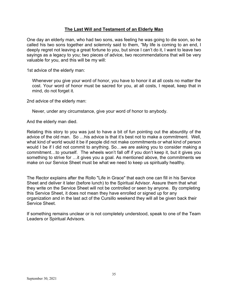### **The Last Will and Testament of an Elderly Man**

One day an elderly man, who had two sons, was feeling he was going to die soon, so he called his two sons together and solemnly said to them, "My life is coming to an end, I deeply regret not leaving a great fortune to you, but since I can't do it, I want to leave two sayings as a legacy to you; two pieces of advice, two recommendations that will be very valuable for you, and this will be my will:

1st advice of the elderly man:

Whenever you give your word of honor, you have to honor it at all costs no matter the cost. Your word of honor must be sacred for you, at all costs, I repeat, keep that in mind, do not forget it.

2nd advice of the elderly man:

Never, under any circumstance, give your word of honor to anybody.

And the elderly man died.

Relating this story to you was just to have a bit of fun pointing out the absurdity of the advice of the old man. So …his advice is that it's best not to make a commitment. Well, what kind of world would it be if people did not make commitments or what kind of person would I be if I did not commit to anything. So…we are asking you to consider making a commitment…to yourself. The wheels won't fall off if you don't keep it, but it gives you something to strive for …it gives you a goal. As mentioned above, the commitments we make on our Service Sheet must be what we need to keep us spiritually healthy.

The Rector explains after the Rollo "Life in Grace" that each one can fill in his Service Sheet and deliver it later (before lunch) to the Spiritual Advisor. Assure them that what they write on the Service Sheet will not be controlled or seen by anyone. By completing this Service Sheet, it does not mean they have enrolled or signed up for any organization and in the last act of the Cursillo weekend they will all be given back their Service Sheet.

If something remains unclear or is not completely understood, speak to one of the Team Leaders or Spiritual Advisors.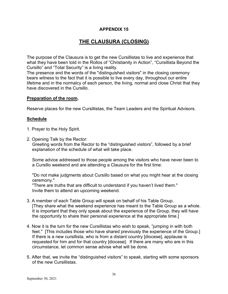# **THE CLAUSURA (CLOSING)**

The purpose of the Clausura is to get the new Cursillistas to live and experience that what they have been told in the Rollos of "Christianity in Action", "Cursillista Beyond the Cursillo" and "Total Security" is a living reality.

The presence and the words of the "distinguished visitors" in the closing ceremony bears witness to the fact that it is possible to live every day, throughout our entire lifetime and in the normalcy of each person, the living, normal and close Christ that they have discovered in the Cursillo.

### **Preparation of the room.**

Reserve places for the new Cursillistas, the Team Leaders and the Spiritual Advisors.

### **Schedule**

- 1. Prayer to the Holy Spirit.
- 2. Opening Talk by the Rector:

Greeting words from the Rector to the "distinguished visitors", followed by a brief explanation of the schedule of what will take place.

Some advice addressed to those people among the visitors who have never been to a Cursillo weekend and are attending a Clausura for the first time:

"Do not make judgments about Cursillo based on what you might hear at the closing ceremony."

"There are truths that are difficult to understand if you haven't lived them." Invite them to attend an upcoming weekend.

- 3. A member of each Table Group will speak on behalf of his Table Group. [They share what the weekend experience has meant to the Table Group as a whole. It is important that they only speak about the experience of the Group, they will have the opportunity to share their personal experience at the appropriate time.]
- 4. Now it is the turn for the new Cursillistas who wish to speak, "jumping in with both feet." [This includes those who have shared previously the experience of the Group.] If there is a new cursillista, who is from a distant country [diocese], applause is requested for him and for that country [diocese]. If there are many who are in this circumstance, let common sense advise what will be done.
- 5. After that, we invite the "distinguished visitors" to speak, starting with some sponsors of the new Cursillistas.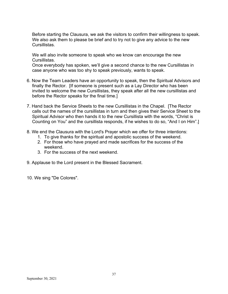Before starting the Clausura, we ask the visitors to confirm their willingness to speak. We also ask them to please be brief and to try not to give any advice to the new Cursillistas.

We will also invite someone to speak who we know can encourage the new Cursillistas.

Once everybody has spoken, we'll give a second chance to the new Cursillistas in case anyone who was too shy to speak previously, wants to speak.

- 6. Now the Team Leaders have an opportunity to speak, then the Spiritual Advisors and finally the Rector. [If someone is present such as a Lay Director who has been invited to welcome the new Cursillistas, they speak after all the new cursillistas and before the Rector speaks for the final time.]
- 7. Hand back the Service Sheets to the new Cursillistas in the Chapel. [The Rector calls out the names of the cursillistas in turn and then gives their Service Sheet to the Spiritual Advisor who then hands it to the new Cursillista with the words, "Christ is Counting on You" and the cursillista responds, if he wishes to do so, "And I on Him".]
- 8. We end the Clausura with the Lord's Prayer which we offer for three intentions:
	- 1. To give thanks for the spiritual and apostolic success of the weekend.
	- 2. For those who have prayed and made sacrifices for the success of the weekend.
	- 3. For the success of the next weekend.
- 9. Applause to the Lord present in the Blessed Sacrament.
- 10. We sing "De Colores".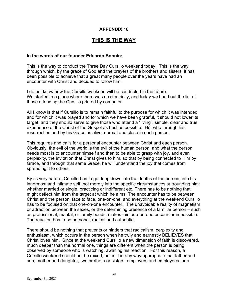# **THIS IS THE WAY**

### **In the words of our founder Eduardo Bonnin:**

This is the way to conduct the Three Day Cursillo weekend today. This is the way through which, by the grace of God and the prayers of the brothers and sisters, it has been possible to achieve that a great many people over the years have had an encounter with Christ and decided to follow him.

I do not know how the Cursillo weekend will be conducted in the future. We started in a place where there was no electricity, and today we hand out the list of those attending the Cursillo printed by computer.

All I know is that if Cursillo is to remain faithful to the purpose for which it was intended and for which it was prayed and for which we have been grateful, it should not lower its target, and they should serve to give those who attend a "living", simple, clear and true experience of the Christ of the Gospel as best as possible. He, who through his resurrection and by his Grace, is alive, normal and close in each person.

This requires and calls for a personal encounter between Christ and each person. Obviously, the evil of the world is the evil of the human person, and what the person needs most is to encounter himself and then to be able to grasp with joy, and even perplexity, the invitation that Christ gives to him, so that by being connected to Him by Grace, and through that same Grace, he will understand the joy that comes from spreading it to others.

By its very nature, Cursillo has to go deep down into the depths of the person, into his innermost and intimate self, not merely into the specific circumstances surrounding him: whether married or single, practicing or indifferent etc. There has to be nothing that might deflect him from the target at which he aims. The encounter has to be between Christ and the person, face to face, one-on-one, and everything at the weekend Cursillo has to be focused on that one-on-one encounter. The unavoidable reality of magnetism or attraction between the sexes, or the determining presence of a familiar person – such as professional, marital, or family bonds, makes this one-on-one encounter impossible. The reaction has to be personal, radical and authentic.

There should be nothing that prevents or hinders that radicalism, perplexity and enthusiasm, which occurs in the person when he truly and earnestly BELIEVES that Christ loves him. Since at the weekend Cursillo a new dimension of faith is discovered, much deeper than the normal one, things are different when the person is being observed by someone who is watching, awaiting his reaction. For this reason, a Cursillo weekend should not be mixed; nor is it in any way appropriate that father and son, mother and daughter, two brothers or sisters, employers and employees, or a